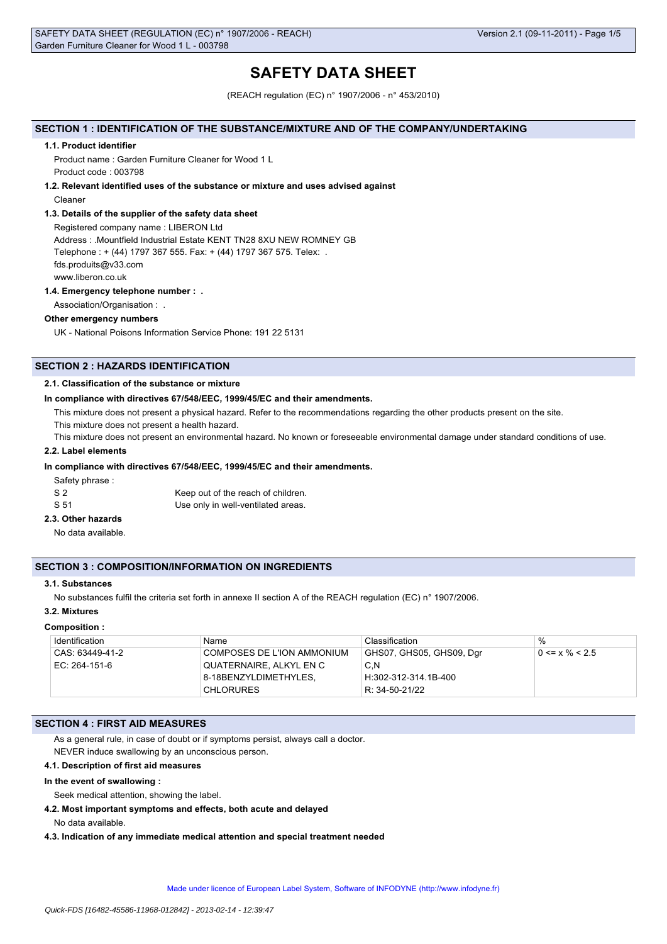# **SAFETY DATA SHEET**

(REACH regulation (EC) n° 1907/2006 - n° 453/2010)

# **SECTION 1 : IDENTIFICATION OF THE SUBSTANCE/MIXTURE AND OF THE COMPANY/UNDERTAKING**

#### **1.1. Product identifier**

Product name : Garden Furniture Cleaner for Wood 1 L Product code : 003798

## **1.2. Relevant identified uses of the substance or mixture and uses advised against**

Cleaner

#### **1.3. Details of the supplier of the safety data sheet**

Registered company name : LIBERON Ltd Address : .Mountfield Industrial Estate KENT TN28 8XU NEW ROMNEY GB Telephone : + (44) 1797 367 555. Fax: + (44) 1797 367 575. Telex: . fds.produits@v33.com www.liberon.co.uk

#### **1.4. Emergency telephone number : .**

Association/Organisation : .

#### **Other emergency numbers**

UK - National Poisons Information Service Phone: 191 22 5131

# **SECTION 2 : HAZARDS IDENTIFICATION**

## **2.1. Classification of the substance or mixture**

#### **In compliance with directives 67/548/EEC, 1999/45/EC and their amendments.**

This mixture does not present a physical hazard. Refer to the recommendations regarding the other products present on the site.

This mixture does not present a health hazard.

This mixture does not present an environmental hazard. No known or foreseeable environmental damage under standard conditions of use.

## **2.2. Label elements**

## **In compliance with directives 67/548/EEC, 1999/45/EC and their amendments.**

Safety phrase :

| S 2  | Keep out of the reach of children. |
|------|------------------------------------|
| S 51 | Use only in well-ventilated areas. |

## **2.3. Other hazards**

No data available.

## **SECTION 3 : COMPOSITION/INFORMATION ON INGREDIENTS**

## **3.1. Substances**

No substances fulfil the criteria set forth in annexe II section A of the REACH regulation (EC) n° 1907/2006.

## **3.2. Mixtures**

#### **Composition :**

| Identification  | Name                         | Classification           | $\%$                 |
|-----------------|------------------------------|--------------------------|----------------------|
| CAS: 63449-41-2 | © COMPOSES DE L'ION AMMONIUM | GHS07, GHS05, GHS09, Dgr | $0 \le x \% \le 2.5$ |
| EC: 264-151-6   | QUATERNAIRE, ALKYL EN C      | C.N                      |                      |
|                 | 8-18BENZYLDIMETHYLES.        | H:302-312-314.1B-400     |                      |
|                 | <b>CHLORURES</b>             | R: 34-50-21/22           |                      |

## **SECTION 4 : FIRST AID MEASURES**

As a general rule, in case of doubt or if symptoms persist, always call a doctor. NEVER induce swallowing by an unconscious person.

#### **4.1. Description of first aid measures**

#### **In the event of swallowing :**

Seek medical attention, showing the label.

**4.2. Most important symptoms and effects, both acute and delayed**

No data available.

**4.3. Indication of any immediate medical attention and special treatment needed**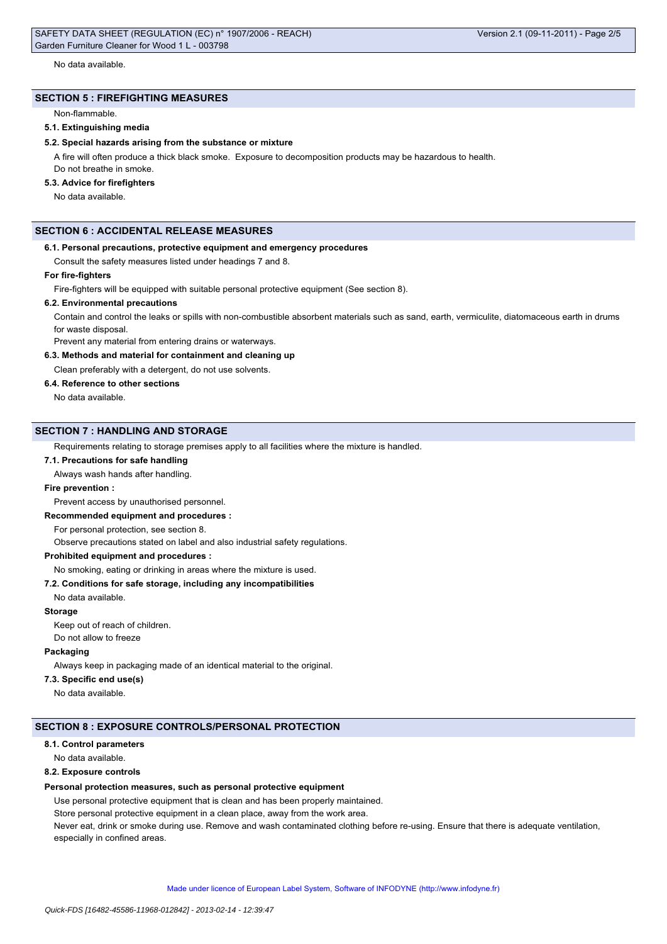Version 2.1 (09-11-2011) - Page 2/5

# **SECTION 5 : FIREFIGHTING MEASURES**

Non-flammable.

# **5.1. Extinguishing media**

# **5.2. Special hazards arising from the substance or mixture**

A fire will often produce a thick black smoke. Exposure to decomposition products may be hazardous to health. Do not breathe in smoke.

# **5.3. Advice for firefighters**

No data available.

# **SECTION 6 : ACCIDENTAL RELEASE MEASURES**

## **6.1. Personal precautions, protective equipment and emergency procedures**

Consult the safety measures listed under headings 7 and 8.

## **For fire-fighters**

Fire-fighters will be equipped with suitable personal protective equipment (See section 8).

# **6.2. Environmental precautions**

Contain and control the leaks or spills with non-combustible absorbent materials such as sand, earth, vermiculite, diatomaceous earth in drums for waste disposal.

Prevent any material from entering drains or waterways.

# **6.3. Methods and material for containment and cleaning up**

Clean preferably with a detergent, do not use solvents.

# **6.4. Reference to other sections**

No data available.

## **SECTION 7 : HANDLING AND STORAGE**

Requirements relating to storage premises apply to all facilities where the mixture is handled.

## **7.1. Precautions for safe handling**

Always wash hands after handling.

#### **Fire prevention :**

Prevent access by unauthorised personnel.

#### **Recommended equipment and procedures :**

For personal protection, see section 8.

Observe precautions stated on label and also industrial safety regulations.

## **Prohibited equipment and procedures :**

# No smoking, eating or drinking in areas where the mixture is used.

# **7.2. Conditions for safe storage, including any incompatibilities**

No data available.

#### **Storage**

Keep out of reach of children.

Do not allow to freeze

# **Packaging**

Always keep in packaging made of an identical material to the original.

# **7.3. Specific end use(s)**

No data available.

## **SECTION 8 : EXPOSURE CONTROLS/PERSONAL PROTECTION**

#### **8.1. Control parameters**

No data available.

## **8.2. Exposure controls**

## **Personal protection measures, such as personal protective equipment**

Use personal protective equipment that is clean and has been properly maintained.

Store personal protective equipment in a clean place, away from the work area.

Never eat, drink or smoke during use. Remove and wash contaminated clothing before re-using. Ensure that there is adequate ventilation, especially in confined areas.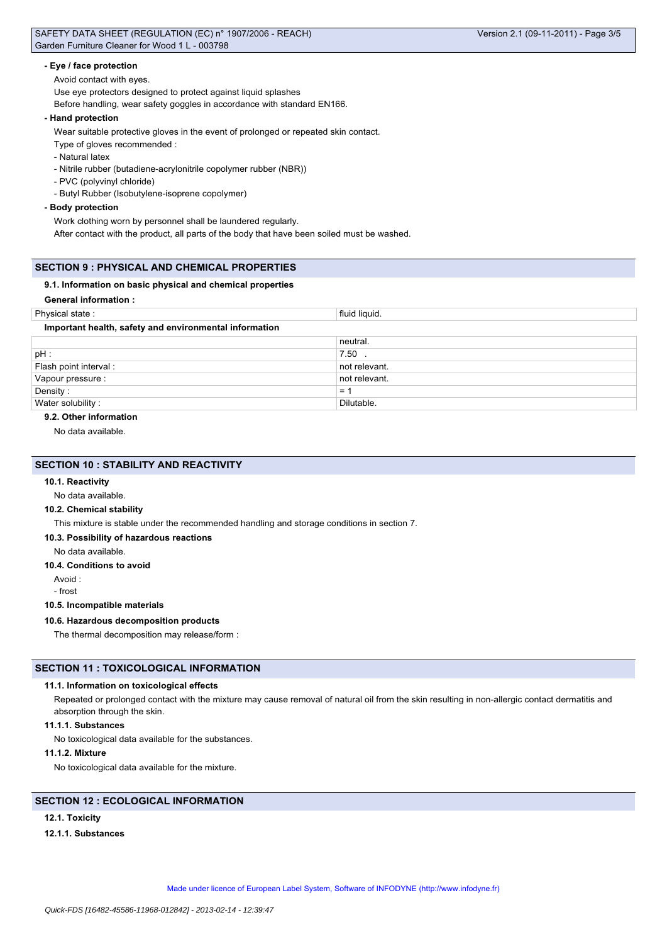## **- Eye / face protection**

Avoid contact with eyes.

Use eye protectors designed to protect against liquid splashes

Before handling, wear safety goggles in accordance with standard EN166.

#### **- Hand protection**

Wear suitable protective gloves in the event of prolonged or repeated skin contact.

Type of gloves recommended :

- Natural latex

- Nitrile rubber (butadiene-acrylonitrile copolymer rubber (NBR))

- PVC (polyvinyl chloride)
- Butyl Rubber (Isobutylene-isoprene copolymer)

## **- Body protection**

Work clothing worn by personnel shall be laundered regularly.

After contact with the product, all parts of the body that have been soiled must be washed.

## **SECTION 9 : PHYSICAL AND CHEMICAL PROPERTIES**

## **9.1. Information on basic physical and chemical properties**

## **General information :**

| Physical state:                                        | fluid liquid. |  |
|--------------------------------------------------------|---------------|--|
| Important health, safety and environmental information |               |  |
|                                                        | neutral.      |  |
| pH:                                                    | $7.50$ .      |  |
| Flash point interval:                                  | not relevant. |  |
| Vapour pressure :                                      | not relevant. |  |
| Density:                                               | $=$           |  |
| Water solubility:                                      | Dilutable.    |  |

## **9.2. Other information**

No data available.

# **SECTION 10 : STABILITY AND REACTIVITY**

## **10.1. Reactivity**

No data available.

# **10.2. Chemical stability**

This mixture is stable under the recommended handling and storage conditions in section 7.

#### **10.3. Possibility of hazardous reactions**

No data available.

#### **10.4. Conditions to avoid**

Avoid :

- frost

## **10.5. Incompatible materials**

## **10.6. Hazardous decomposition products**

The thermal decomposition may release/form :

# **SECTION 11 : TOXICOLOGICAL INFORMATION**

## **11.1. Information on toxicological effects**

Repeated or prolonged contact with the mixture may cause removal of natural oil from the skin resulting in non-allergic contact dermatitis and absorption through the skin.

#### **11.1.1. Substances**

No toxicological data available for the substances.

## **11.1.2. Mixture**

No toxicological data available for the mixture.

# **SECTION 12 : ECOLOGICAL INFORMATION**

# **12.1. Toxicity**

#### **12.1.1. Substances**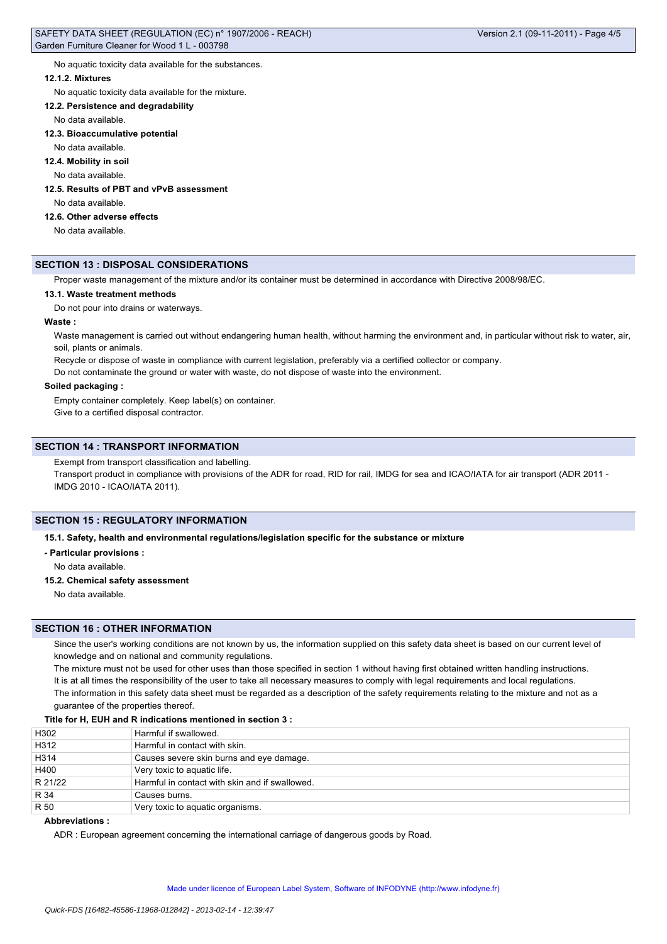No aquatic toxicity data available for the substances.

#### **12.1.2. Mixtures**

No aquatic toxicity data available for the mixture.

#### **12.2. Persistence and degradability**

No data available.

#### **12.3. Bioaccumulative potential**

No data available.

#### **12.4. Mobility in soil**

No data available.

# **12.5. Results of PBT and vPvB assessment**

No data available.

# **12.6. Other adverse effects**

No data available.

# **SECTION 13 : DISPOSAL CONSIDERATIONS**

Proper waste management of the mixture and/or its container must be determined in accordance with Directive 2008/98/EC.

## **13.1. Waste treatment methods**

Do not pour into drains or waterways.

# **Waste :**

Waste management is carried out without endangering human health, without harming the environment and, in particular without risk to water, air, soil, plants or animals.

Recycle or dispose of waste in compliance with current legislation, preferably via a certified collector or company.

Do not contaminate the ground or water with waste, do not dispose of waste into the environment.

## **Soiled packaging :**

Empty container completely. Keep label(s) on container.

Give to a certified disposal contractor.

## **SECTION 14 : TRANSPORT INFORMATION**

Exempt from transport classification and labelling.

Transport product in compliance with provisions of the ADR for road, RID for rail, IMDG for sea and ICAO/IATA for air transport (ADR 2011 -IMDG 2010 - ICAO/IATA 2011).

# **SECTION 15 : REGULATORY INFORMATION**

**15.1. Safety, health and environmental regulations/legislation specific for the substance or mixture**

**- Particular provisions :**

No data available.

**15.2. Chemical safety assessment**

No data available.

### **SECTION 16 : OTHER INFORMATION**

Since the user's working conditions are not known by us, the information supplied on this safety data sheet is based on our current level of knowledge and on national and community regulations.

The mixture must not be used for other uses than those specified in section 1 without having first obtained written handling instructions. It is at all times the responsibility of the user to take all necessary measures to comply with legal requirements and local regulations. The information in this safety data sheet must be regarded as a description of the safety requirements relating to the mixture and not as a guarantee of the properties thereof.

## **Title for H, EUH and R indications mentioned in section 3 :**

| H302    | Harmful if swallowed.                          |
|---------|------------------------------------------------|
| H312    | Harmful in contact with skin.                  |
| H314    | Causes severe skin burns and eye damage.       |
| H400    | Very toxic to aquatic life.                    |
| R 21/22 | Harmful in contact with skin and if swallowed. |
| R 34    | Causes burns.                                  |
| R 50    | Very toxic to aquatic organisms.               |

# **Abbreviations :**

ADR : European agreement concerning the international carriage of dangerous goods by Road.